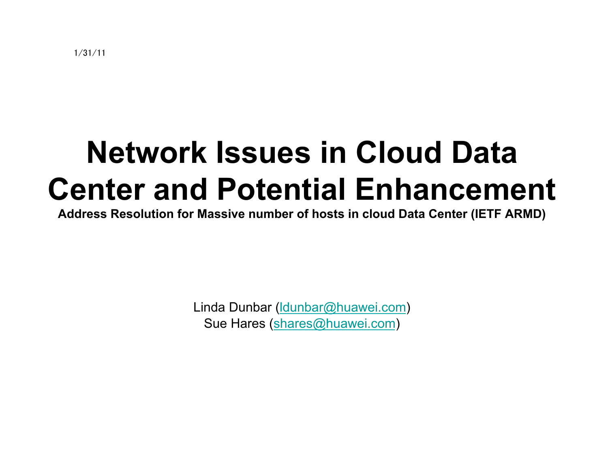# **Network Issues in Cloud Data Center and Potential Enhancement**

**Address Resolution for Massive number of hosts in cloud Data Center (IETF ARMD)** 

Linda Dunbar (ldunbar@huawei.com) Sue Hares (shares@huawei.com)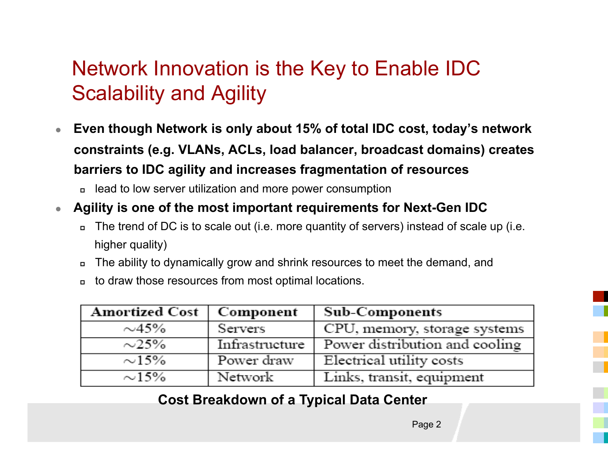### Network Innovation is the Key to Enable IDC Scalability and Agility

- **Even though Network is only about 15% of total IDC cost, today's network constraints (e.g. VLANs, ACLs, load balancer, broadcast domains) creates barriers to IDC agility and increases fragmentation of resources** 
	- lead to low server utilization and more power consumption
- **Agility is one of the most important requirements for Next-Gen IDC** 
	- The trend of DC is to scale out (i.e. more quantity of servers) instead of scale up (i.e. higher quality)
	- The ability to dynamically grow and shrink resources to meet the demand, and
	- to draw those resources from most optimal locations.

| <b>Amortized Cost</b> | Component      | <b>Sub-Components</b>          |
|-----------------------|----------------|--------------------------------|
| $\sim$ 45%            | Servers        | CPU, memory, storage systems   |
| $\sim$ 25%            | Infrastructure | Power distribution and cooling |
| $\sim$ 15%            | Power draw     | Electrical utility costs       |
| $\sim$ 15%            | Network        | Links, transit, equipment      |

#### **Cost Breakdown of a Typical Data Center**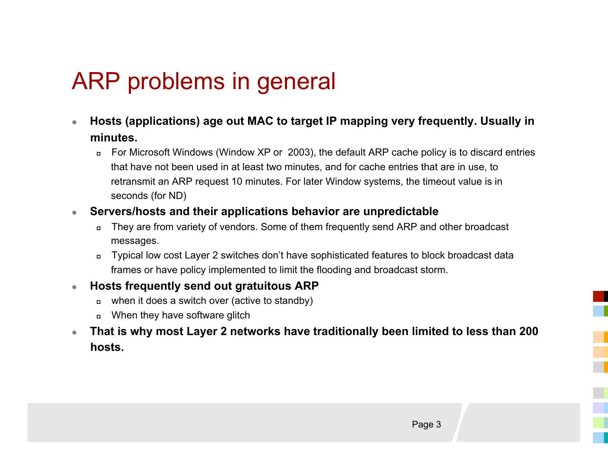# ARP problems in general

- **Hosts (applications) age out MAC to target IP mapping very frequently. Usually in minutes.** 
	- For Microsoft Windows (Window XP or 2003), the default ARP cache policy is to discard entries that have not been used in at least two minutes, and for cache entries that are in use, to retransmit an ARP request 10 minutes. For later Window systems, the timeout value is in seconds (for ND)
- **Servers/hosts and their applications behavior are unpredictable** 
	- They are from variety of vendors. Some of them frequently send ARP and other broadcast messages.
	- Typical low cost Layer 2 switches don't have sophisticated features to block broadcast data frames or have policy implemented to limit the flooding and broadcast storm.
- **Hosts frequently send out gratuitous ARP** 
	- a when it does a switch over (active to standby)
	- When they have software glitch
- **That is why most Layer 2 networks have traditionally been limited to less than 200 hosts.**

ł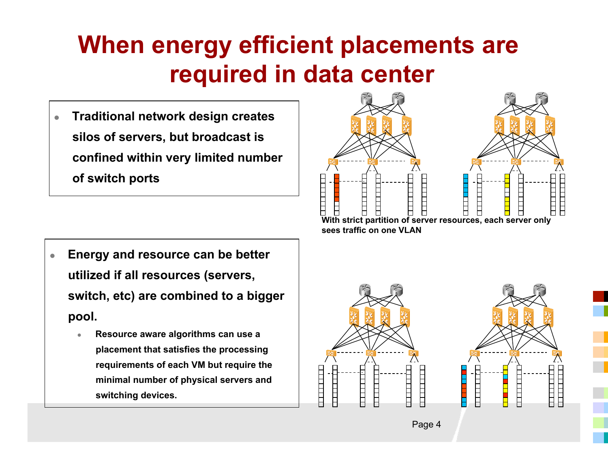# **When energy efficient placements are required in data center**

 **Traditional network design creates silos of servers, but broadcast is confined within very limited number of switch ports**

- **Energy and resource can be better utilized if all resources (servers, switch, etc) are combined to a bigger pool.** 
	- **Resource aware algorithms can use a placement that satisfies the processing requirements of each VM but require the minimal number of physical servers and switching devices.**

**With strict partition of server resources, each server only sees traffic on one VLAN** 

 $\frac{1}{2}$ 

0000000

 $\frac{1}{2}$ 

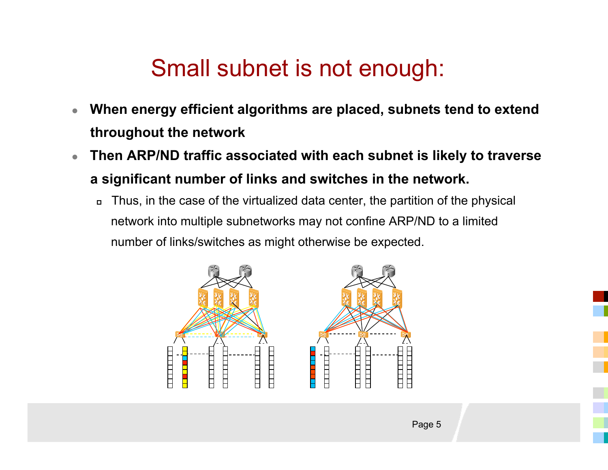## Small subnet is not enough:

- **When energy efficient algorithms are placed, subnets tend to extend throughout the network**
- **Then ARP/ND traffic associated with each subnet is likely to traverse a significant number of links and switches in the network.** 
	- Thus, in the case of the virtualized data center, the partition of the physical network into multiple subnetworks may not confine ARP/ND to a limited number of links/switches as might otherwise be expected.

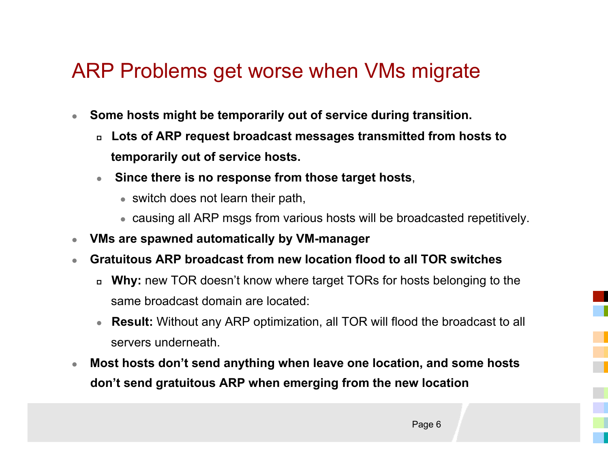#### ARP Problems get worse when VMs migrate

- **Some hosts might be temporarily out of service during transition.** 
	- **Lots of ARP request broadcast messages transmitted from hosts to temporarily out of service hosts.**
	- **Since there is no response from those target hosts**,
		- switch does not learn their path,
		- causing all ARP msgs from various hosts will be broadcasted repetitively.
- **VMs are spawned automatically by VM-manager**
- **Gratuitous ARP broadcast from new location flood to all TOR switches** 
	- **Why:** new TOR doesn't know where target TORs for hosts belonging to the same broadcast domain are located:
	- **Result:** Without any ARP optimization, all TOR will flood the broadcast to all servers underneath.
- **Most hosts don't send anything when leave one location, and some hosts don't send gratuitous ARP when emerging from the new location**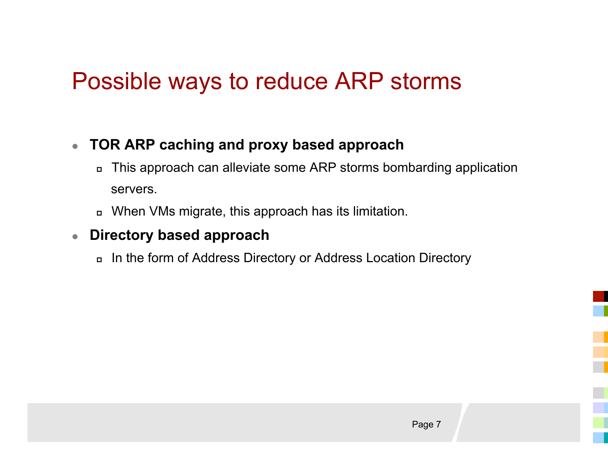### Possible ways to reduce ARP storms

#### **TOR ARP caching and proxy based approach**

- This approach can alleviate some ARP storms bombarding application servers.
- When VMs migrate, this approach has its limitation.

#### **Directory based approach**

In the form of Address Directory or Address Location Directory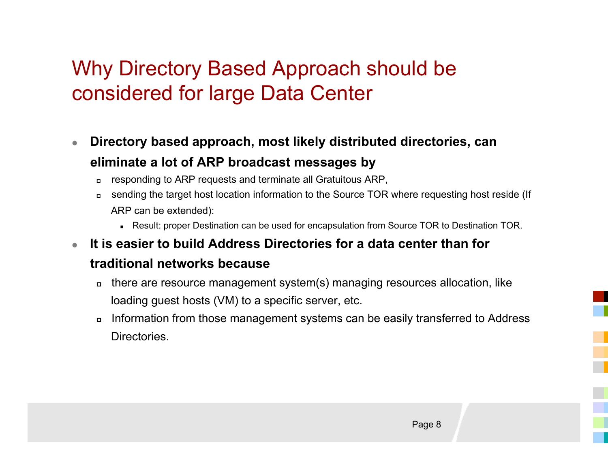### Why Directory Based Approach should be considered for large Data Center

- **Directory based approach, most likely distributed directories, can eliminate a lot of ARP broadcast messages by** 
	- responding to ARP requests and terminate all Gratuitous ARP,
	- sending the target host location information to the Source TOR where requesting host reside (If ARP can be extended):
		- Result: proper Destination can be used for encapsulation from Source TOR to Destination TOR.
- **It is easier to build Address Directories for a data center than for traditional networks because** 
	- there are resource management system(s) managing resources allocation, like loading guest hosts (VM) to a specific server, etc.
	- Information from those management systems can be easily transferred to Address Directories.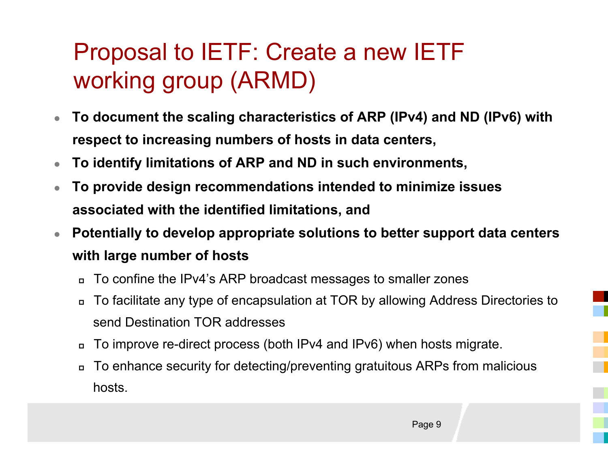# Proposal to IETF: Create a new IETF working group (ARMD)

- **To document the scaling characteristics of ARP (IPv4) and ND (IPv6) with respect to increasing numbers of hosts in data centers,**
- **To identify limitations of ARP and ND in such environments,**
- **To provide design recommendations intended to minimize issues associated with the identified limitations, and**
- **Potentially to develop appropriate solutions to better support data centers with large number of hosts** 
	- To confine the IPv4's ARP broadcast messages to smaller zones
	- To facilitate any type of encapsulation at TOR by allowing Address Directories to send Destination TOR addresses
	- To improve re-direct process (both IPv4 and IPv6) when hosts migrate.
	- To enhance security for detecting/preventing gratuitous ARPs from malicious hosts.